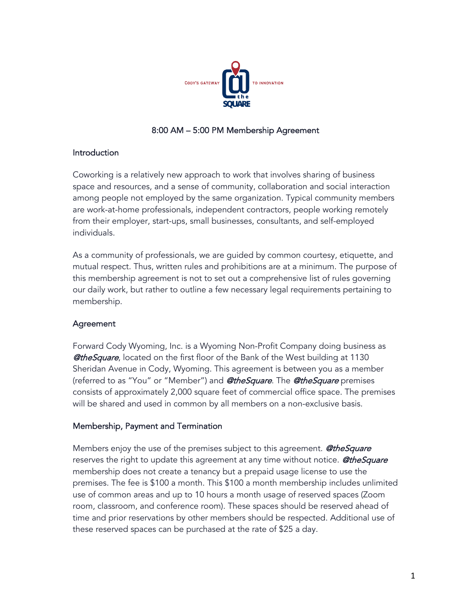

## 8:00 AM – 5:00 PM Membership Agreement

#### Introduction

Coworking is a relatively new approach to work that involves sharing of business space and resources, and a sense of community, collaboration and social interaction among people not employed by the same organization. Typical community members are work-at-home professionals, independent contractors, people working remotely from their employer, start-ups, small businesses, consultants, and self-employed individuals.

As a community of professionals, we are guided by common courtesy, etiquette, and mutual respect. Thus, written rules and prohibitions are at a minimum. The purpose of this membership agreement is not to set out a comprehensive list of rules governing our daily work, but rather to outline a few necessary legal requirements pertaining to membership.

### Agreement

Forward Cody Wyoming, Inc. is a Wyoming Non-Profit Company doing business as **@theSquare**, located on the first floor of the Bank of the West building at 1130 Sheridan Avenue in Cody, Wyoming. This agreement is between you as a member (referred to as "You" or "Member") and **@theSquare**. The **@theSquare** premises consists of approximately 2,000 square feet of commercial office space. The premises will be shared and used in common by all members on a non-exclusive basis.

### Membership, Payment and Termination

Members enjoy the use of the premises subject to this agreement. **@theSquare** reserves the right to update this agreement at any time without notice. **@theSquare** membership does not create a tenancy but a prepaid usage license to use the premises. The fee is \$100 a month. This \$100 a month membership includes unlimited use of common areas and up to 10 hours a month usage of reserved spaces (Zoom room, classroom, and conference room). These spaces should be reserved ahead of time and prior reservations by other members should be respected. Additional use of these reserved spaces can be purchased at the rate of \$25 a day.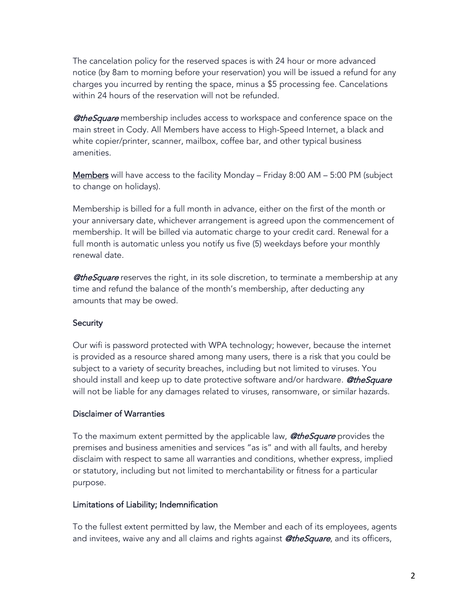The cancelation policy for the reserved spaces is with 24 hour or more advanced notice (by 8am to morning before your reservation) you will be issued a refund for any charges you incurred by renting the space, minus a \$5 processing fee. Cancelations within 24 hours of the reservation will not be refunded.

**@theSquare** membership includes access to workspace and conference space on the main street in Cody. All Members have access to High-Speed Internet, a black and white copier/printer, scanner, mailbox, coffee bar, and other typical business amenities.

Members will have access to the facility Monday – Friday 8:00 AM – 5:00 PM (subject to change on holidays).

Membership is billed for a full month in advance, either on the first of the month or your anniversary date, whichever arrangement is agreed upon the commencement of membership. It will be billed via automatic charge to your credit card. Renewal for a full month is automatic unless you notify us five (5) weekdays before your monthly renewal date.

**@theSquare** reserves the right, in its sole discretion, to terminate a membership at any time and refund the balance of the month's membership, after deducting any amounts that may be owed.

#### **Security**

Our wifi is password protected with WPA technology; however, because the internet is provided as a resource shared among many users, there is a risk that you could be subject to a variety of security breaches, including but not limited to viruses. You should install and keep up to date protective software and/or hardware. **@theSquare** will not be liable for any damages related to viruses, ransomware, or similar hazards.

#### Disclaimer of Warranties

To the maximum extent permitted by the applicable law, **@theSquare** provides the premises and business amenities and services "as is" and with all faults, and hereby disclaim with respect to same all warranties and conditions, whether express, implied or statutory, including but not limited to merchantability or fitness for a particular purpose.

### Limitations of Liability; Indemnification

To the fullest extent permitted by law, the Member and each of its employees, agents and invitees, waive any and all claims and rights against **@theSquare**, and its officers,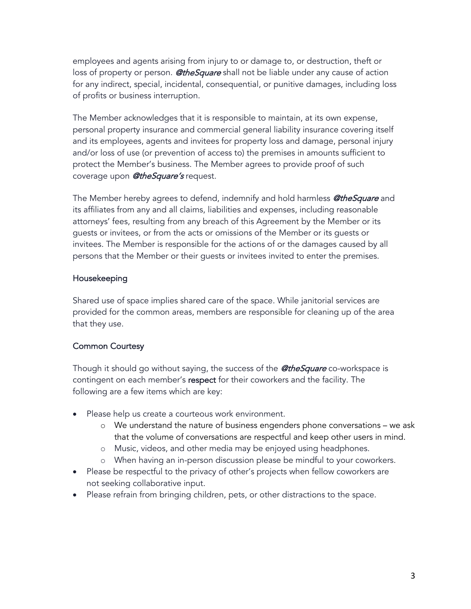employees and agents arising from injury to or damage to, or destruction, theft or loss of property or person. **@theSquare** shall not be liable under any cause of action for any indirect, special, incidental, consequential, or punitive damages, including loss of profits or business interruption.

The Member acknowledges that it is responsible to maintain, at its own expense, personal property insurance and commercial general liability insurance covering itself and its employees, agents and invitees for property loss and damage, personal injury and/or loss of use (or prevention of access to) the premises in amounts sufficient to protect the Member's business. The Member agrees to provide proof of such coverage upon **@theSquare's** request.

The Member hereby agrees to defend, indemnify and hold harmless **@theSquare** and its affiliates from any and all claims, liabilities and expenses, including reasonable attorneys' fees, resulting from any breach of this Agreement by the Member or its guests or invitees, or from the acts or omissions of the Member or its guests or invitees. The Member is responsible for the actions of or the damages caused by all persons that the Member or their guests or invitees invited to enter the premises.

### Housekeeping

Shared use of space implies shared care of the space. While janitorial services are provided for the common areas, members are responsible for cleaning up of the area that they use.

#### Common Courtesy

Though it should go without saying, the success of the **@theSquare** co-workspace is contingent on each member's respect for their coworkers and the facility. The following are a few items which are key:

- Please help us create a courteous work environment.
	- o We understand the nature of business engenders phone conversations we ask that the volume of conversations are respectful and keep other users in mind.
	- o Music, videos, and other media may be enjoyed using headphones.
	- o When having an in-person discussion please be mindful to your coworkers.
- Please be respectful to the privacy of other's projects when fellow coworkers are not seeking collaborative input.
- Please refrain from bringing children, pets, or other distractions to the space.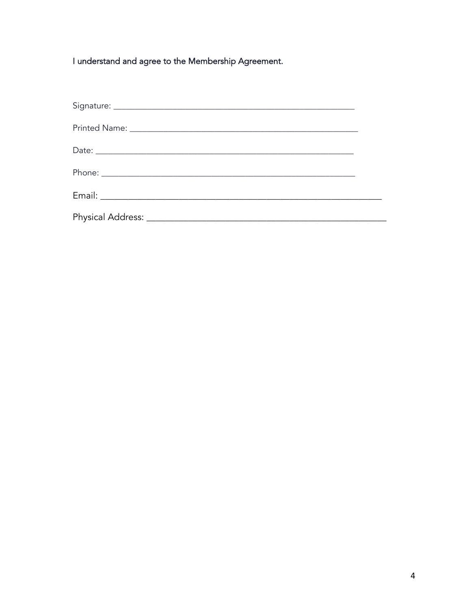I understand and agree to the Membership Agreement.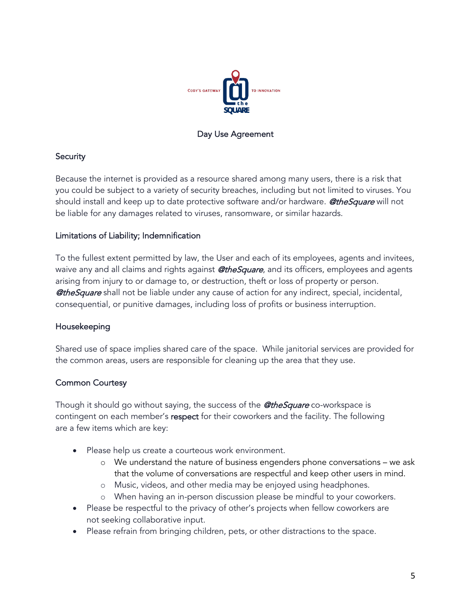

### Day Use Agreement

## **Security**

Because the internet is provided as a resource shared among many users, there is a risk that you could be subject to a variety of security breaches, including but not limited to viruses. You should install and keep up to date protective software and/or hardware. **@theSquare** will not be liable for any damages related to viruses, ransomware, or similar hazards.

### Limitations of Liability; Indemnification

To the fullest extent permitted by law, the User and each of its employees, agents and invitees, waive any and all claims and rights against **@theSquare**, and its officers, employees and agents arising from injury to or damage to, or destruction, theft or loss of property or person. **@theSquare** shall not be liable under any cause of action for any indirect, special, incidental, consequential, or punitive damages, including loss of profits or business interruption.

# Housekeeping

Shared use of space implies shared care of the space. While janitorial services are provided for the common areas, users are responsible for cleaning up the area that they use.

# Common Courtesy

Though it should go without saying, the success of the **@theSquare** co-workspace is contingent on each member's respect for their coworkers and the facility. The following are a few items which are key:

- Please help us create a courteous work environment.
	- o We understand the nature of business engenders phone conversations we ask that the volume of conversations are respectful and keep other users in mind.
	- o Music, videos, and other media may be enjoyed using headphones.
	- o When having an in-person discussion please be mindful to your coworkers.
- Please be respectful to the privacy of other's projects when fellow coworkers are not seeking collaborative input.
- Please refrain from bringing children, pets, or other distractions to the space.